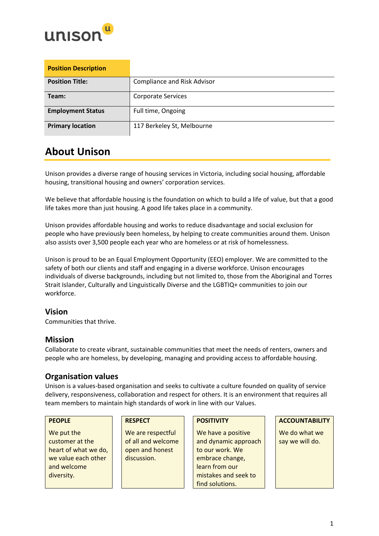

| <b>Position Description</b> |                                    |
|-----------------------------|------------------------------------|
| <b>Position Title:</b>      | <b>Compliance and Risk Advisor</b> |
| Team:                       | <b>Corporate Services</b>          |
| <b>Employment Status</b>    | Full time, Ongoing                 |
| <b>Primary location</b>     | 117 Berkeley St, Melbourne         |

## **About Unison**

Unison provides a diverse range of housing services in Victoria, including social housing, affordable housing, transitional housing and owners' corporation services.

We believe that affordable housing is the foundation on which to build a life of value, but that a good life takes more than just housing. A good life takes place in a community.

Unison provides affordable housing and works to reduce disadvantage and social exclusion for people who have previously been homeless, by helping to create communities around them. Unison also assists over 3,500 people each year who are homeless or at risk of homelessness.

Unison is proud to be an Equal Employment Opportunity (EEO) employer. We are committed to the safety of both our clients and staff and engaging in a diverse workforce. Unison encourages individuals of diverse backgrounds, including but not limited to, those from the Aboriginal and Torres Strait Islander, Culturally and Linguistically Diverse and the LGBTIQ+ communities to join our workforce.

## **Vision**

Communities that thrive.

## **Mission**

Collaborate to create vibrant, sustainable communities that meet the needs of renters, owners and people who are homeless, by developing, managing and providing access to affordable housing.

## **Organisation values**

Unison is a values-based organisation and seeks to cultivate a culture founded on quality of service delivery, responsiveness, collaboration and respect for others. It is an environment that requires all team members to maintain high standards of work in line with our Values.

We put the customer at the heart of what we do, we value each other and welcome diversity.

We are respectful of all and welcome open and honest discussion.

We have a positive and dynamic approach to our work. We embrace change, learn from our mistakes and seek to find solutions.

### **PEOPLE RESPECT POSITIVITY ACCOUNTABILITY**

We do what we say we will do.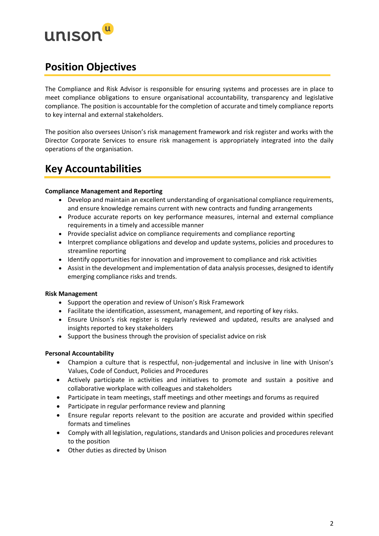

## **Position Objectives**

The Compliance and Risk Advisor is responsible for ensuring systems and processes are in place to meet compliance obligations to ensure organisational accountability, transparency and legislative compliance. The position is accountable for the completion of accurate and timely compliance reports to key internal and external stakeholders.

The position also oversees Unison's risk management framework and risk register and works with the Director Corporate Services to ensure risk management is appropriately integrated into the daily operations of the organisation.

## **Key Accountabilities**

### **Compliance Management and Reporting**

- Develop and maintain an excellent understanding of organisational compliance requirements, and ensure knowledge remains current with new contracts and funding arrangements
- Produce accurate reports on key performance measures, internal and external compliance requirements in a timely and accessible manner
- Provide specialist advice on compliance requirements and compliance reporting
- Interpret compliance obligations and develop and update systems, policies and procedures to streamline reporting
- Identify opportunities for innovation and improvement to compliance and risk activities
- Assist in the development and implementation of data analysis processes, designed to identify emerging compliance risks and trends.

### **Risk Management**

- Support the operation and review of Unison's Risk Framework
- Facilitate the identification, assessment, management, and reporting of key risks.
- Ensure Unison's risk register is regularly reviewed and updated, results are analysed and insights reported to key stakeholders
- Support the business through the provision of specialist advice on risk

## **Personal Accountability**

- Champion a culture that is respectful, non-judgemental and inclusive in line with Unison's Values, Code of Conduct, Policies and Procedures
- Actively participate in activities and initiatives to promote and sustain a positive and collaborative workplace with colleagues and stakeholders
- Participate in team meetings, staff meetings and other meetings and forums as required
- Participate in regular performance review and planning
- Ensure regular reports relevant to the position are accurate and provided within specified formats and timelines
- Comply with all legislation, regulations, standards and Unison policies and procedures relevant to the position
- Other duties as directed by Unison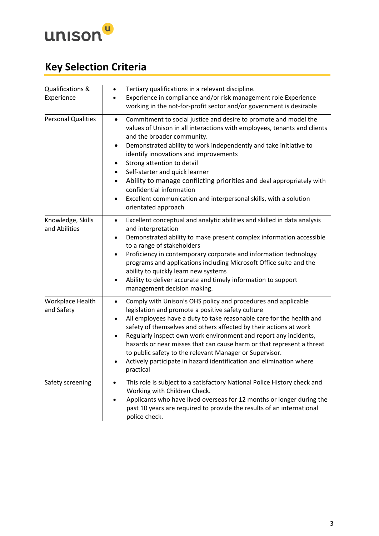

# **Key Selection Criteria**

| Qualifications &<br>Experience     | Tertiary qualifications in a relevant discipline.<br>$\bullet$<br>Experience in compliance and/or risk management role Experience<br>$\bullet$<br>working in the not-for-profit sector and/or government is desirable                                                                                                                                                                                                                                                                                                                                                                 |
|------------------------------------|---------------------------------------------------------------------------------------------------------------------------------------------------------------------------------------------------------------------------------------------------------------------------------------------------------------------------------------------------------------------------------------------------------------------------------------------------------------------------------------------------------------------------------------------------------------------------------------|
| <b>Personal Qualities</b>          | Commitment to social justice and desire to promote and model the<br>$\bullet$<br>values of Unison in all interactions with employees, tenants and clients<br>and the broader community.<br>Demonstrated ability to work independently and take initiative to<br>identify innovations and improvements<br>Strong attention to detail<br>Self-starter and quick learner<br>Ability to manage conflicting priorities and deal appropriately with<br>٠<br>confidential information<br>Excellent communication and interpersonal skills, with a solution<br>orientated approach            |
| Knowledge, Skills<br>and Abilities | Excellent conceptual and analytic abilities and skilled in data analysis<br>$\bullet$<br>and interpretation<br>Demonstrated ability to make present complex information accessible<br>٠<br>to a range of stakeholders<br>Proficiency in contemporary corporate and information technology<br>programs and applications including Microsoft Office suite and the<br>ability to quickly learn new systems<br>Ability to deliver accurate and timely information to support<br>management decision making.                                                                               |
| Workplace Health<br>and Safety     | Comply with Unison's OHS policy and procedures and applicable<br>$\bullet$<br>legislation and promote a positive safety culture<br>All employees have a duty to take reasonable care for the health and<br>$\bullet$<br>safety of themselves and others affected by their actions at work<br>Regularly inspect own work environment and report any incidents,<br>hazards or near misses that can cause harm or that represent a threat<br>to public safety to the relevant Manager or Supervisor.<br>Actively participate in hazard identification and elimination where<br>practical |
| Safety screening                   | This role is subject to a satisfactory National Police History check and<br>$\bullet$<br>Working with Children Check.<br>Applicants who have lived overseas for 12 months or longer during the<br>past 10 years are required to provide the results of an international<br>police check.                                                                                                                                                                                                                                                                                              |